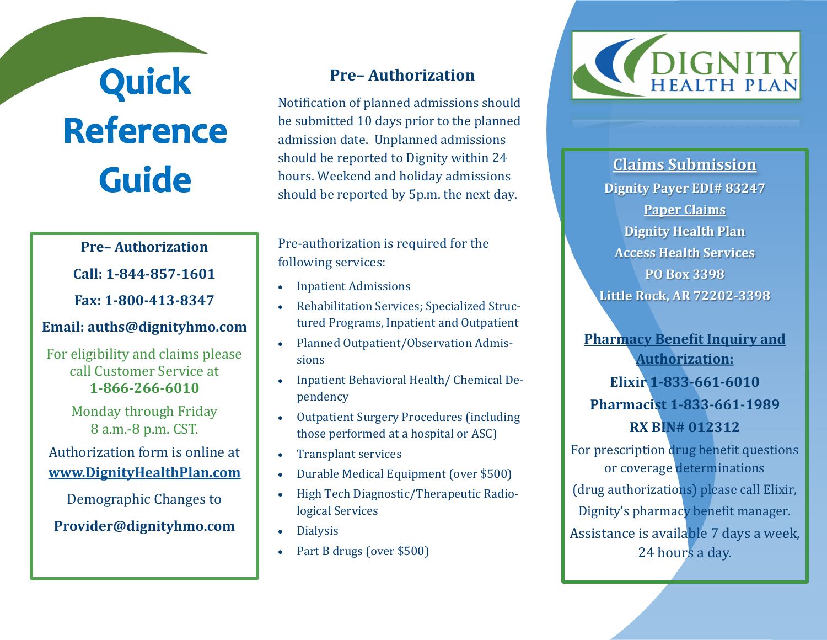## **Quick<br>Reference Guide**

## **Pre– Authorization**

**Call: 1-844-857-1601**

**Fax: 1-800-413-8347**

## **Email: auths@dignityhmo.com**

For eligibility and claims please call Customer Service at **1-866-266-6010**

> Monday through Friday 8 a.m.-8 p.m. CST.

Authorization form is online at **[www.DignityHealthPlan.com](http://www.dignityhealthplan.com)**

Demographic Changes to

**Provider@dignityhmo.com**

## **Pre– Authorization**

Notification of planned admissions should be submitted 10 days prior to the planned admission date. Unplanned admissions should be reported to Dignity within 24 hours. Weekend and holiday admissions should be reported by 5p.m. the next day.

Pre-authorization is required for the following services:

- Inpatient Admissions
- Rehabilitation Services; Specialized Structured Programs, Inpatient and Outpatient
- Planned Outpatient/Observation Admissions
- Inpatient Behavioral Health/ Chemical Dependency
- Outpatient Surgery Procedures (including those performed at a hospital or ASC)
- Transplant services
- Durable Medical Equipment (over \$500)
- High Tech Diagnostic/Therapeutic Radiological Services
- Dialysis
- Part B drugs (over \$500)



**Claims Submission Dignity Payer EDI# 83247 Paper Claims Dignity Health Plan Access Health Services PO Box 3398 Little Rock, AR 72202-3398**

**Pharmacy Benefit Inquiry and Authorization: Elixir 1-833-661-6010 Pharmacist 1-833-661-1989 RX BIN# 012312**

For prescription drug benefit questions or coverage determinations (drug authorizations) please call Elixir, Dignity's pharmacy benefit manager. Assistance is available 7 days a week, 24 hours a day.